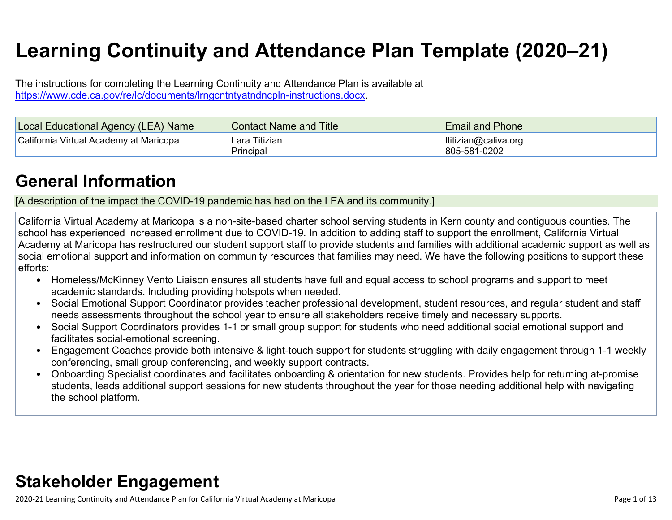# **Learning Continuity and Attendance Plan Template (2020–21)**

The instructions for completing the Learning Continuity and Attendance Plan is available at <https://www.cde.ca.gov/re/lc/documents/lrngcntntyatndncpln-instructions.docx>.

| Local Educational Agency (LEA) Name    | <b>Contact Name and Title</b> | <b>Email and Phone</b>               |
|----------------------------------------|-------------------------------|--------------------------------------|
| California Virtual Academy at Maricopa | Lara Titizian<br>Principal    | Ititizian@caliva.org<br>805-581-0202 |

## **General [Information](http://www.doc-tracking.com/screenshots/20LCP/Instructions/20LCPInstructions.htm#generalinformation)**

[A description of the impact the COVID-19 pandemic has had on the LEA and its community.]

California Virtual Academy at Maricopa is a non-site-based charter school serving students in Kern county and contiguous counties. The school has experienced increased enrollment due to COVID-19. In addition to adding staff to support the enrollment, California Virtual Academy at Maricopa has restructured our student support staff to provide students and families with additional academic support as well as social emotional support and information on community resources that families may need. We have the following positions to support these efforts:

- Homeless/McKinney Vento Liaison ensures all students have full and equal access to school programs and support to meet academic standards. Including providing hotspots when needed.
- Social Emotional Support Coordinator provides teacher professional development, student resources, and regular student and staff needs assessments throughout the school year to ensure all stakeholders receive timely and necessary supports.
- Social Support Coordinators provides 1-1 or small group support for students who need additional social emotional support and facilitates social-emotional screening.
- Engagement Coaches provide both intensive & light-touch support for students struggling with daily engagement through 1-1 weekly conferencing, small group conferencing, and weekly support contracts.
- Onboarding Specialist coordinates and facilitates onboarding & orientation for new students. Provides help for returning at-promise students, leads additional support sessions for new students throughout the year for those needing additional help with navigating the school platform.

## **Stakeholder [Engagement](http://www.doc-tracking.com/screenshots/20LCP/Instructions/20LCPInstructions.htm#stakeholderengagement)**

2020-21 Learning Continuity and Attendance Plan for California Virtual Academy at Maricopa Page 1 of 13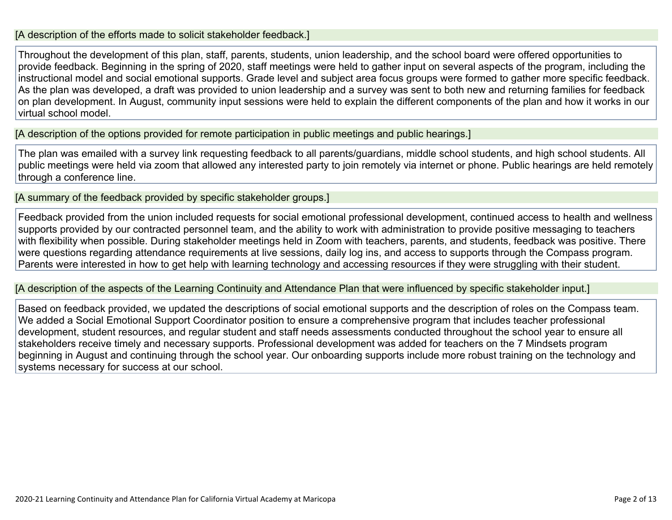#### [A description of the efforts made to solicit stakeholder feedback.]

Throughout the development of this plan, staff, parents, students, union leadership, and the school board were offered opportunities to provide feedback. Beginning in the spring of 2020, staff meetings were held to gather input on several aspects of the program, including the instructional model and social emotional supports. Grade level and subject area focus groups were formed to gather more specific feedback. As the plan was developed, a draft was provided to union leadership and a survey was sent to both new and returning families for feedback on plan development. In August, community input sessions were held to explain the different components of the plan and how it works in our virtual school model.

[A description of the options provided for remote participation in public meetings and public hearings.]

The plan was emailed with a survey link requesting feedback to all parents/guardians, middle school students, and high school students. All public meetings were held via zoom that allowed any interested party to join remotely via internet or phone. Public hearings are held remotely through a conference line.

[A summary of the feedback provided by specific stakeholder groups.]

Feedback provided from the union included requests for social emotional professional development, continued access to health and wellness supports provided by our contracted personnel team, and the ability to work with administration to provide positive messaging to teachers with flexibility when possible. During stakeholder meetings held in Zoom with teachers, parents, and students, feedback was positive. There were questions regarding attendance requirements at live sessions, daily log ins, and access to supports through the Compass program. Parents were interested in how to get help with learning technology and accessing resources if they were struggling with their student.

[A description of the aspects of the Learning Continuity and Attendance Plan that were influenced by specific stakeholder input.]

Based on feedback provided, we updated the descriptions of social emotional supports and the description of roles on the Compass team. We added a Social Emotional Support Coordinator position to ensure a comprehensive program that includes teacher professional development, student resources, and regular student and staff needs assessments conducted throughout the school year to ensure all stakeholders receive timely and necessary supports. Professional development was added for teachers on the 7 Mindsets program beginning in August and continuing through the school year. Our onboarding supports include more robust training on the technology and systems necessary for success at our school.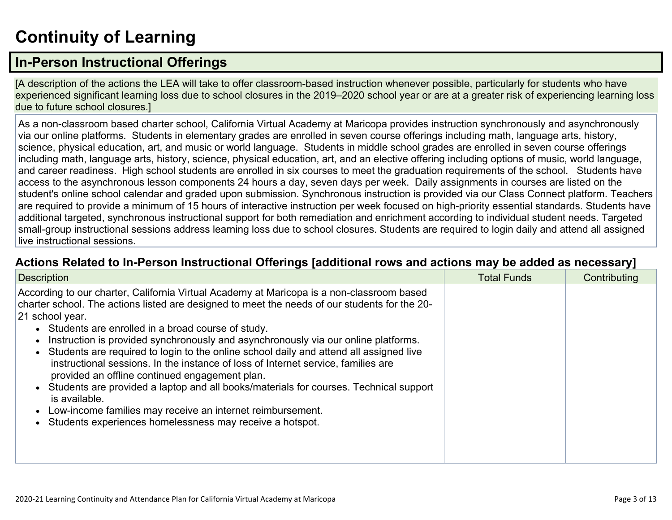# **[Continuity](http://www.doc-tracking.com/screenshots/20LCP/Instructions/20LCPInstructions.htm#ContinuityofLearning) of Learnin[g](http://www.doc-tracking.com/screenshots/20LCP/Instructions/20LCPInstructions.htm#ContinuityofLearning)**

## **In-Person [Instructional](http://www.doc-tracking.com/screenshots/20LCP/Instructions/20LCPInstructions.htm#ContinuityofLearning1) Offerings**

[A description of the actions the LEA will take to offer classroom-based instruction whenever possible, particularly for students who have experienced significant learning loss due to school closures in the 2019–2020 school year or are at a greater risk of experiencing learning loss due to future school closures.]

As a non-classroom based charter school, California Virtual Academy at Maricopa provides instruction synchronously and asynchronously via our online platforms. Students in elementary grades are enrolled in seven course offerings including math, language arts, history, science, physical education, art, and music or world language. Students in middle school grades are enrolled in seven course offerings including math, language arts, history, science, physical education, art, and an elective offering including options of music, world language, and career readiness. High school students are enrolled in six courses to meet the graduation requirements of the school. Students have access to the asynchronous lesson components 24 hours a day, seven days per week. Daily assignments in courses are listed on the student's online school calendar and graded upon submission. Synchronous instruction is provided via our Class Connect platform. Teachers are required to provide a minimum of 15 hours of interactive instruction per week focused on high-priority essential standards. Students have additional targeted, synchronous instructional support for both remediation and enrichment according to individual student needs. Targeted small-group instructional sessions address learning loss due to school closures. Students are required to login daily and attend all assigned live instructional sessions.

#### **Actions Related to In-Person [Instructional](http://www.doc-tracking.com/screenshots/20LCP/Instructions/20LCPInstructions.htm#ContinuityofLearning2) Offerings [additional rows and actions may be added as necessary]**

| <b>Description</b>                                                                                                                                                                                                                                                                                                                                                                                                                                                                                                                                                                                                                                                                                                                                                                                                              | <b>Total Funds</b> | Contributing |
|---------------------------------------------------------------------------------------------------------------------------------------------------------------------------------------------------------------------------------------------------------------------------------------------------------------------------------------------------------------------------------------------------------------------------------------------------------------------------------------------------------------------------------------------------------------------------------------------------------------------------------------------------------------------------------------------------------------------------------------------------------------------------------------------------------------------------------|--------------------|--------------|
| According to our charter, California Virtual Academy at Maricopa is a non-classroom based<br>charter school. The actions listed are designed to meet the needs of our students for the 20-<br>21 school year.<br>• Students are enrolled in a broad course of study.<br>Instruction is provided synchronously and asynchronously via our online platforms.<br>Students are required to login to the online school daily and attend all assigned live<br>instructional sessions. In the instance of loss of Internet service, families are<br>provided an offline continued engagement plan.<br>Students are provided a laptop and all books/materials for courses. Technical support<br>is available.<br>Low-income families may receive an internet reimbursement.<br>Students experiences homelessness may receive a hotspot. |                    |              |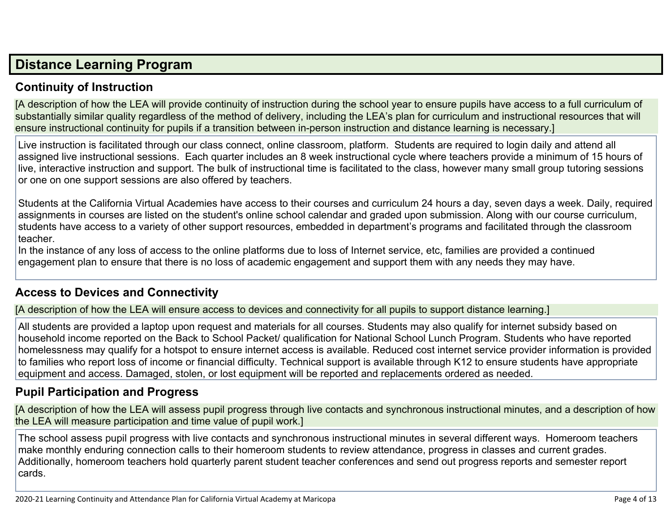## **Distance [Learning](http://www.doc-tracking.com/screenshots/20LCP/Instructions/20LCPInstructions.htm#DistanceLearningProgram) Program**

## **Continuity of [Instruction](http://www.doc-tracking.com/screenshots/20LCP/Instructions/20LCPInstructions.htm#DistanceLearningProgram1)**

[A description of how the LEA will provide continuity of instruction during the school year to ensure pupils have access to a full curriculum of substantially similar quality regardless of the method of delivery, including the LEA's plan for curriculum and instructional resources that will ensure instructional continuity for pupils if a transition between in-person instruction and distance learning is necessary.]

Live instruction is facilitated through our class connect, online classroom, platform. Students are required to login daily and attend all assigned live instructional sessions. Each quarter includes an 8 week instructional cycle where teachers provide a minimum of 15 hours of live, interactive instruction and support. The bulk of instructional time is facilitated to the class, however many small group tutoring sessions or one on one support sessions are also offered by teachers.

Students at the California Virtual Academies have access to their courses and curriculum 24 hours a day, seven days a week. Daily, required assignments in courses are listed on the student's online school calendar and graded upon submission. Along with our course curriculum, students have access to a variety of other support resources, embedded in department's programs and facilitated through the classroom teacher.

In the instance of any loss of access to the online platforms due to loss of Internet service, etc, families are provided a continued engagement plan to ensure that there is no loss of academic engagement and support them with any needs they may have.

#### **Access to Devices and [Connectivity](http://www.doc-tracking.com/screenshots/20LCP/Instructions/20LCPInstructions.htm#DistanceLearningProgram2)**

[A description of how the LEA will ensure access to devices and connectivity for all pupils to support distance learning.]

All students are provided a laptop upon request and materials for all courses. Students may also qualify for internet subsidy based on household income reported on the Back to School Packet/ qualification for National School Lunch Program. Students who have reported homelessness may qualify for a hotspot to ensure internet access is available. Reduced cost internet service provider information is provided to families who report loss of income or financial difficulty. Technical support is available through K12 to ensure students have appropriate equipment and access. Damaged, stolen, or lost equipment will be reported and replacements ordered as needed.

## **Pupil [Participation](http://www.doc-tracking.com/screenshots/20LCP/Instructions/20LCPInstructions.htm#DistanceLearningProgram3) and Progress**

[A description of how the LEA will assess pupil progress through live contacts and synchronous instructional minutes, and a description of how the LEA will measure participation and time value of pupil work.]

The school assess pupil progress with live contacts and synchronous instructional minutes in several different ways. Homeroom teachers make monthly enduring connection calls to their homeroom students to review attendance, progress in classes and current grades. Additionally, homeroom teachers hold quarterly parent student teacher conferences and send out progress reports and semester report cards.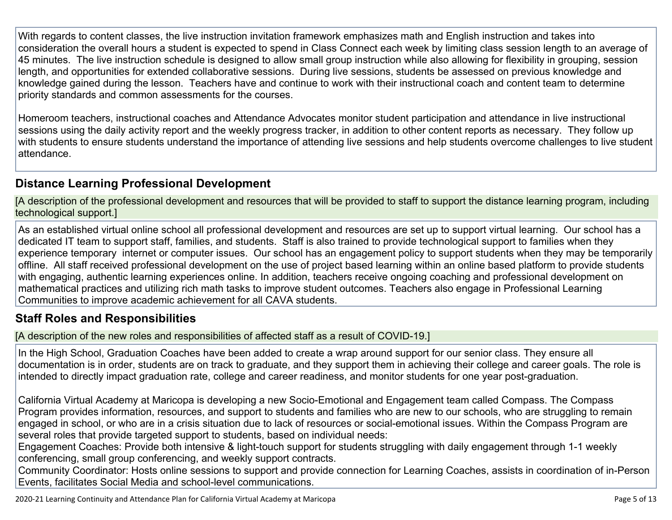With regards to content classes, the live instruction invitation framework emphasizes math and English instruction and takes into consideration the overall hours a student is expected to spend in Class Connect each week by limiting class session length to an average of 45 minutes. The live instruction schedule is designed to allow small group instruction while also allowing for flexibility in grouping, session length, and opportunities for extended collaborative sessions. During live sessions, students be assessed on previous knowledge and knowledge gained during the lesson. Teachers have and continue to work with their instructional coach and content team to determine priority standards and common assessments for the courses.

Homeroom teachers, instructional coaches and Attendance Advocates monitor student participation and attendance in live instructional sessions using the daily activity report and the weekly progress tracker, in addition to other content reports as necessary. They follow up with students to ensure students understand the importance of attending live sessions and help students overcome challenges to live student attendance.

## **Distance Learning Professional [Development](http://www.doc-tracking.com/screenshots/20LCP/Instructions/20LCPInstructions.htm#DistanceLearningProgram4)**

[A description of the professional development and resources that will be provided to staff to support the distance learning program, including technological support.]

As an established virtual online school all professional development and resources are set up to support virtual learning. Our school has a dedicated IT team to support staff, families, and students. Staff is also trained to provide technological support to families when they experience temporary internet or computer issues. Our school has an engagement policy to support students when they may be temporarily offline. All staff received professional development on the use of project based learning within an online based platform to provide students with engaging, authentic learning experiences online. In addition, teachers receive ongoing coaching and professional development on mathematical practices and utilizing rich math tasks to improve student outcomes. Teachers also engage in Professional Learning Communities to improve academic achievement for all CAVA students.

#### **Staff Roles and [Responsibilities](http://www.doc-tracking.com/screenshots/20LCP/Instructions/20LCPInstructions.htm#DistanceLearningProgram5)**

[A description of the new roles and responsibilities of affected staff as a result of COVID-19.]

In the High School, Graduation Coaches have been added to create a wrap around support for our senior class. They ensure all documentation is in order, students are on track to graduate, and they support them in achieving their college and career goals. The role is intended to directly impact graduation rate, college and career readiness, and monitor students for one year post-graduation.

California Virtual Academy at Maricopa is developing a new Socio-Emotional and Engagement team called Compass. The Compass Program provides information, resources, and support to students and families who are new to our schools, who are struggling to remain engaged in school, or who are in a crisis situation due to lack of resources or social-emotional issues. Within the Compass Program are several roles that provide targeted support to students, based on individual needs:

Engagement Coaches: Provide both intensive & light-touch support for students struggling with daily engagement through 1-1 weekly conferencing, small group conferencing, and weekly support contracts.

Community Coordinator: Hosts online sessions to support and provide connection for Learning Coaches, assists in coordination of in-Person Events, facilitates Social Media and school-level communications.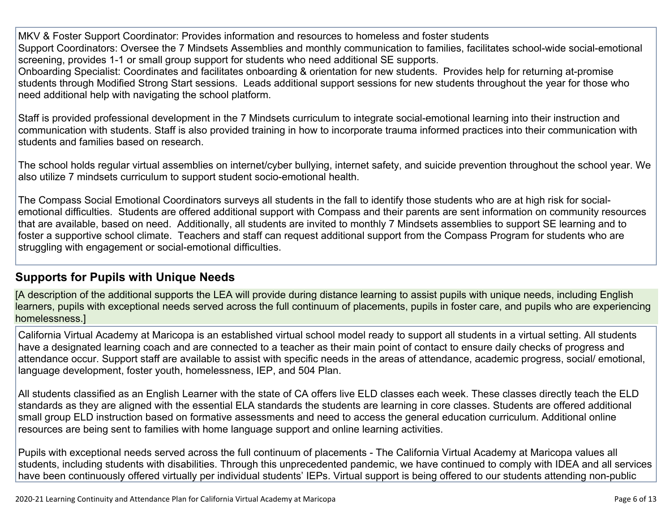MKV & Foster Support Coordinator: Provides information and resources to homeless and foster students Support Coordinators: Oversee the 7 Mindsets Assemblies and monthly communication to families, facilitates school-wide social-emotional screening, provides 1-1 or small group support for students who need additional SE supports.

Onboarding Specialist: Coordinates and facilitates onboarding & orientation for new students. Provides help for returning at-promise students through Modified Strong Start sessions. Leads additional support sessions for new students throughout the year for those who need additional help with navigating the school platform.

Staff is provided professional development in the 7 Mindsets curriculum to integrate social-emotional learning into their instruction and communication with students. Staff is also provided training in how to incorporate trauma informed practices into their communication with students and families based on research.

The school holds regular virtual assemblies on internet/cyber bullying, internet safety, and suicide prevention throughout the school year. We also utilize 7 mindsets curriculum to support student socio-emotional health.

The Compass Social Emotional Coordinators surveys all students in the fall to identify those students who are at high risk for socialemotional difficulties. Students are offered additional support with Compass and their parents are sent information on community resources that are available, based on need. Additionally, all students are invited to monthly 7 Mindsets assemblies to support SE learning and to foster a supportive school climate. Teachers and staff can request additional support from the Compass Program for students who are struggling with engagement or social-emotional difficulties.

## **[Supports](http://www.doc-tracking.com/screenshots/20LCP/Instructions/20LCPInstructions.htm#DistanceLearningProgram6) for Pupils with Unique Needs**

[A description of the additional supports the LEA will provide during distance learning to assist pupils with unique needs, including English learners, pupils with exceptional needs served across the full continuum of placements, pupils in foster care, and pupils who are experiencing homelessness.]

California Virtual Academy at Maricopa is an established virtual school model ready to support all students in a virtual setting. All students have a designated learning coach and are connected to a teacher as their main point of contact to ensure daily checks of progress and attendance occur. Support staff are available to assist with specific needs in the areas of attendance, academic progress, social/ emotional, language development, foster youth, homelessness, IEP, and 504 Plan.

All students classified as an English Learner with the state of CA offers live ELD classes each week. These classes directly teach the ELD standards as they are aligned with the essential ELA standards the students are learning in core classes. Students are offered additional small group ELD instruction based on formative assessments and need to access the general education curriculum. Additional online resources are being sent to families with home language support and online learning activities.

Pupils with exceptional needs served across the full continuum of placements - The California Virtual Academy at Maricopa values all students, including students with disabilities. Through this unprecedented pandemic, we have continued to comply with IDEA and all services have been continuously offered virtually per individual students' IEPs. Virtual support is being offered to our students attending non-public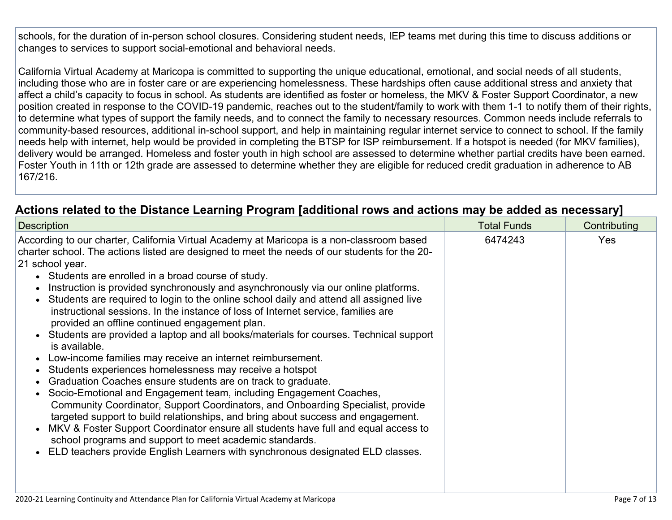schools, for the duration of in-person school closures. Considering student needs, IEP teams met during this time to discuss additions or changes to services to support social-emotional and behavioral needs.

California Virtual Academy at Maricopa is committed to supporting the unique educational, emotional, and social needs of all students, including those who are in foster care or are experiencing homelessness. These hardships often cause additional stress and anxiety that affect a child's capacity to focus in school. As students are identified as foster or homeless, the MKV & Foster Support Coordinator, a new position created in response to the COVID-19 pandemic, reaches out to the student/family to work with them 1-1 to notify them of their rights, to determine what types of support the family needs, and to connect the family to necessary resources. Common needs include referrals to community-based resources, additional in-school support, and help in maintaining regular internet service to connect to school. If the family needs help with internet, help would be provided in completing the BTSP for ISP reimbursement. If a hotspot is needed (for MKV families), delivery would be arranged. Homeless and foster youth in high school are assessed to determine whether partial credits have been earned. Foster Youth in 11th or 12th grade are assessed to determine whether they are eligible for reduced credit graduation in adherence to AB 167/216.

## **Actions related to the Distance Learning Program [additional rows and actions may be added as [necessary\]](http://www.doc-tracking.com/screenshots/20LCP/Instructions/20LCPInstructions.htm#DistanceLearningProgram7)**

| <b>Description</b>                                                                                                                                                                                                                                                                                                                                                                                                                                                                                                                                                                                                                                                                                                                                                                                                                                                                                                                                                                                                                                                                                                                                                                                                                                                                                                                                                               | <b>Total Funds</b> | Contributing |  |
|----------------------------------------------------------------------------------------------------------------------------------------------------------------------------------------------------------------------------------------------------------------------------------------------------------------------------------------------------------------------------------------------------------------------------------------------------------------------------------------------------------------------------------------------------------------------------------------------------------------------------------------------------------------------------------------------------------------------------------------------------------------------------------------------------------------------------------------------------------------------------------------------------------------------------------------------------------------------------------------------------------------------------------------------------------------------------------------------------------------------------------------------------------------------------------------------------------------------------------------------------------------------------------------------------------------------------------------------------------------------------------|--------------------|--------------|--|
| According to our charter, California Virtual Academy at Maricopa is a non-classroom based<br>charter school. The actions listed are designed to meet the needs of our students for the 20-<br>21 school year.<br>• Students are enrolled in a broad course of study.<br>Instruction is provided synchronously and asynchronously via our online platforms.<br>Students are required to login to the online school daily and attend all assigned live<br>instructional sessions. In the instance of loss of Internet service, families are<br>provided an offline continued engagement plan.<br>• Students are provided a laptop and all books/materials for courses. Technical support<br>is available.<br>Low-income families may receive an internet reimbursement.<br>Students experiences homelessness may receive a hotspot<br>Graduation Coaches ensure students are on track to graduate.<br>Socio-Emotional and Engagement team, including Engagement Coaches,<br>Community Coordinator, Support Coordinators, and Onboarding Specialist, provide<br>targeted support to build relationships, and bring about success and engagement.<br>MKV & Foster Support Coordinator ensure all students have full and equal access to<br>school programs and support to meet academic standards.<br>ELD teachers provide English Learners with synchronous designated ELD classes. | 6474243            | <b>Yes</b>   |  |
|                                                                                                                                                                                                                                                                                                                                                                                                                                                                                                                                                                                                                                                                                                                                                                                                                                                                                                                                                                                                                                                                                                                                                                                                                                                                                                                                                                                  |                    |              |  |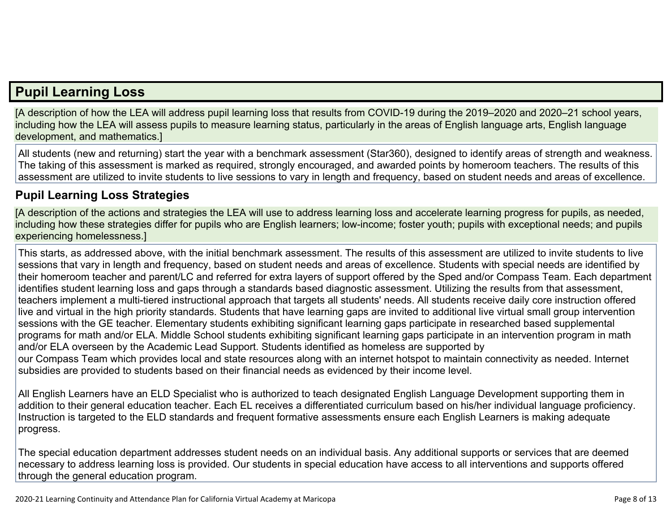## **Pupil [Learning](http://www.doc-tracking.com/screenshots/20LCP/Instructions/20LCPInstructions.htm#PupilLearningLoss) Loss**

[A description of how the LEA will address pupil learning loss that results from COVID-19 during the 2019–2020 and 2020–21 school years, including how the LEA will assess pupils to measure learning status, particularly in the areas of English language arts, English language development, and mathematics.]

All students (new and returning) start the year with a benchmark assessment (Star360), designed to identify areas of strength and weakness. The taking of this assessment is marked as required, strongly encouraged, and awarded points by homeroom teachers. The results of this assessment are utilized to invite students to live sessions to vary in length and frequency, based on student needs and areas of excellence.

### **Pupil Learning Loss [Strategies](http://www.doc-tracking.com/screenshots/20LCP/Instructions/20LCPInstructions.htm#PupilLearningLoss1)**

[A description of the actions and strategies the LEA will use to address learning loss and accelerate learning progress for pupils, as needed, including how these strategies differ for pupils who are English learners; low-income; foster youth; pupils with exceptional needs; and pupils experiencing homelessness.]

This starts, as addressed above, with the initial benchmark assessment. The results of this assessment are utilized to invite students to live sessions that vary in length and frequency, based on student needs and areas of excellence. Students with special needs are identified by their homeroom teacher and parent/LC and referred for extra layers of support offered by the Sped and/or Compass Team. Each department identifies student learning loss and gaps through a standards based diagnostic assessment. Utilizing the results from that assessment, teachers implement a multi-tiered instructional approach that targets all students' needs. All students receive daily core instruction offered live and virtual in the high priority standards. Students that have learning gaps are invited to additional live virtual small group intervention sessions with the GE teacher. Elementary students exhibiting significant learning gaps participate in researched based supplemental programs for math and/or ELA. Middle School students exhibiting significant learning gaps participate in an intervention program in math and/or ELA overseen by the Academic Lead Support. Students identified as homeless are supported by our Compass Team which provides local and state resources along with an internet hotspot to maintain connectivity as needed. Internet subsidies are provided to students based on their financial needs as evidenced by their income level.

All English Learners have an ELD Specialist who is authorized to teach designated English Language Development supporting them in addition to their general education teacher. Each EL receives a differentiated curriculum based on his/her individual language proficiency. Instruction is targeted to the ELD standards and frequent formative assessments ensure each English Learners is making adequate progress.

The special education department addresses student needs on an individual basis. Any additional supports or services that are deemed necessary to address learning loss is provided. Our students in special education have access to all interventions and supports offered through the general education program.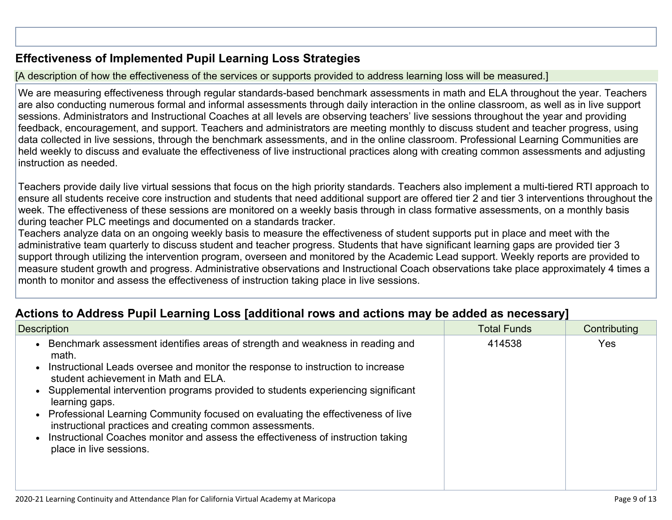## **[Effectiveness](http://www.doc-tracking.com/screenshots/20LCP/Instructions/20LCPInstructions.htm#PupilLearningLoss2) of Implemented Pupil Learning Loss Strategies**

[A description of how the effectiveness of the services or supports provided to address learning loss will be measured.]

We are measuring effectiveness through regular standards-based benchmark assessments in math and ELA throughout the year. Teachers are also conducting numerous formal and informal assessments through daily interaction in the online classroom, as well as in live support sessions. Administrators and Instructional Coaches at all levels are observing teachers' live sessions throughout the year and providing feedback, encouragement, and support. Teachers and administrators are meeting monthly to discuss student and teacher progress, using data collected in live sessions, through the benchmark assessments, and in the online classroom. Professional Learning Communities are held weekly to discuss and evaluate the effectiveness of live instructional practices along with creating common assessments and adjusting instruction as needed.

Teachers provide daily live virtual sessions that focus on the high priority standards. Teachers also implement a multi-tiered RTI approach to ensure all students receive core instruction and students that need additional support are offered tier 2 and tier 3 interventions throughout the week. The effectiveness of these sessions are monitored on a weekly basis through in class formative assessments, on a monthly basis during teacher PLC meetings and documented on a standards tracker.

Teachers analyze data on an ongoing weekly basis to measure the effectiveness of student supports put in place and meet with the administrative team quarterly to discuss student and teacher progress. Students that have significant learning gaps are provided tier 3 support through utilizing the intervention program, overseen and monitored by the Academic Lead support. Weekly reports are provided to measure student growth and progress. Administrative observations and Instructional Coach observations take place approximately 4 times a month to monitor and assess the effectiveness of instruction taking place in live sessions.

## **Actions to Address Pupil Learning Loss [additional rows and actions may be added as [necessary\]](http://www.doc-tracking.com/screenshots/20LCP/Instructions/20LCPInstructions.htm#PupilLearningLoss4)**

| <b>Description</b>                                                                                                                                                                                                                                                                                                                                                                                                                                                                                                                                                                      | <b>Total Funds</b> | Contributing |
|-----------------------------------------------------------------------------------------------------------------------------------------------------------------------------------------------------------------------------------------------------------------------------------------------------------------------------------------------------------------------------------------------------------------------------------------------------------------------------------------------------------------------------------------------------------------------------------------|--------------------|--------------|
| Benchmark assessment identifies areas of strength and weakness in reading and<br>math.<br>Instructional Leads oversee and monitor the response to instruction to increase<br>student achievement in Math and ELA.<br>• Supplemental intervention programs provided to students experiencing significant<br>learning gaps.<br>Professional Learning Community focused on evaluating the effectiveness of live<br>instructional practices and creating common assessments.<br>Instructional Coaches monitor and assess the effectiveness of instruction taking<br>place in live sessions. | 414538             | Yes          |
|                                                                                                                                                                                                                                                                                                                                                                                                                                                                                                                                                                                         |                    |              |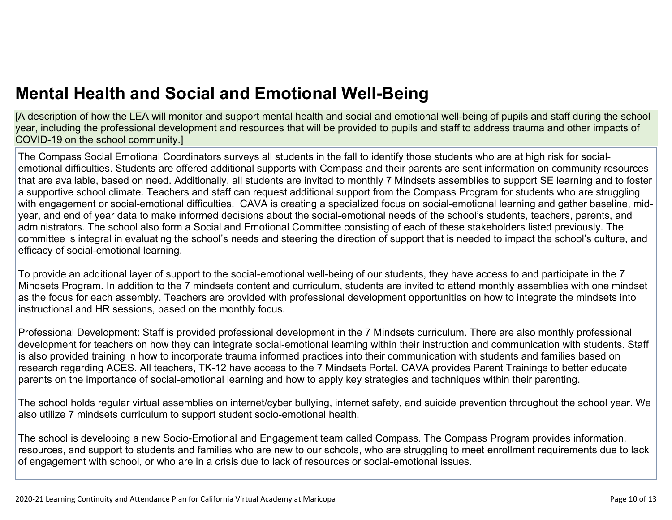[A description of how the LEA will monitor and support mental health and social and emotional well-being of pupils and staff during the school year, including the professional development and resources that will be provided to pupils and staff to address trauma and other impacts of COVID-19 on the school community.]

The Compass Social Emotional Coordinators surveys all students in the fall to identify those students who are at high risk for socialemotional difficulties. Students are offered additional supports with Compass and their parents are sent information on community resources that are available, based on need. Additionally, all students are invited to monthly 7 Mindsets assemblies to support SE learning and to foster a supportive school climate. Teachers and staff can request additional support from the Compass Program for students who are struggling with engagement or social-emotional difficulties. CAVA is creating a specialized focus on social-emotional learning and gather baseline, midyear, and end of year data to make informed decisions about the social-emotional needs of the school's students, teachers, parents, and administrators. The school also form a Social and Emotional Committee consisting of each of these stakeholders listed previously. The committee is integral in evaluating the school's needs and steering the direction of support that is needed to impact the school's culture, and efficacy of social-emotional learning.

To provide an additional layer of support to the social-emotional well-being of our students, they have access to and participate in the 7 Mindsets Program. In addition to the 7 mindsets content and curriculum, students are invited to attend monthly assemblies with one mindset as the focus for each assembly. Teachers are provided with professional development opportunities on how to integrate the mindsets into instructional and HR sessions, based on the monthly focus.

Professional Development: Staff is provided professional development in the 7 Mindsets curriculum. There are also monthly professional development for teachers on how they can integrate social-emotional learning within their instruction and communication with students. Staff is also provided training in how to incorporate trauma informed practices into their communication with students and families based on research regarding ACES. All teachers, TK-12 have access to the 7 Mindsets Portal. CAVA provides Parent Trainings to better educate parents on the importance of social-emotional learning and how to apply key strategies and techniques within their parenting.

The school holds regular virtual assemblies on internet/cyber bullying, internet safety, and suicide prevention throughout the school year. We also utilize 7 mindsets curriculum to support student socio-emotional health.

The school is developing a new Socio-Emotional and Engagement team called Compass. The Compass Program provides information, resources, and support to students and families who are new to our schools, who are struggling to meet enrollment requirements due to lack of engagement with school, or who are in a crisis due to lack of resources or social-emotional issues.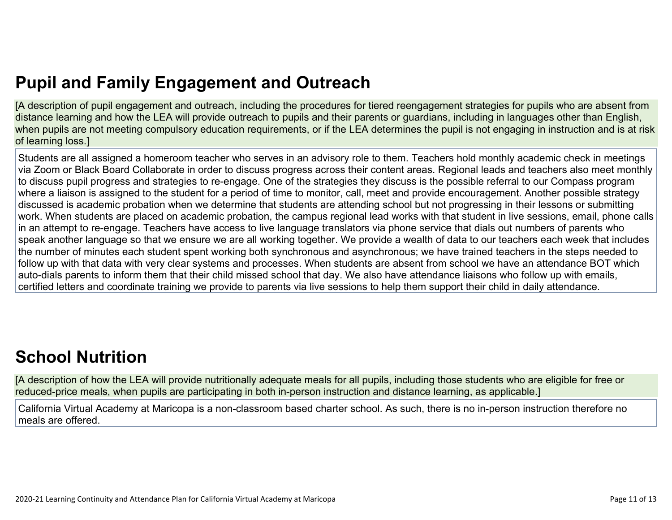# **Pupil and Family [Engagement](http://www.doc-tracking.com/screenshots/20LCP/Instructions/20LCPInstructions.htm#PupilEngagementandOutreach) and Outreach**

[A description of pupil engagement and outreach, including the procedures for tiered reengagement strategies for pupils who are absent from distance learning and how the LEA will provide outreach to pupils and their parents or guardians, including in languages other than English, when pupils are not meeting compulsory education requirements, or if the LEA determines the pupil is not engaging in instruction and is at risk of learning loss.]

Students are all assigned a homeroom teacher who serves in an advisory role to them. Teachers hold monthly academic check in meetings via Zoom or Black Board Collaborate in order to discuss progress across their content areas. Regional leads and teachers also meet monthly to discuss pupil progress and strategies to re-engage. One of the strategies they discuss is the possible referral to our Compass program where a liaison is assigned to the student for a period of time to monitor, call, meet and provide encouragement. Another possible strategy discussed is academic probation when we determine that students are attending school but not progressing in their lessons or submitting work. When students are placed on academic probation, the campus regional lead works with that student in live sessions, email, phone calls in an attempt to re-engage. Teachers have access to live language translators via phone service that dials out numbers of parents who speak another language so that we ensure we are all working together. We provide a wealth of data to our teachers each week that includes the number of minutes each student spent working both synchronous and asynchronous; we have trained teachers in the steps needed to follow up with that data with very clear systems and processes. When students are absent from school we have an attendance BOT which auto-dials parents to inform them that their child missed school that day. We also have attendance liaisons who follow up with emails, certified letters and coordinate training we provide to parents via live sessions to help them support their child in daily attendance.

# **School [Nutrition](http://www.doc-tracking.com/screenshots/20LCP/Instructions/20LCPInstructions.htm#SchoolNutrition)**

[A description of how the LEA will provide nutritionally adequate meals for all pupils, including those students who are eligible for free or reduced-price meals, when pupils are participating in both in-person instruction and distance learning, as applicable.]

California Virtual Academy at Maricopa is a non-classroom based charter school. As such, there is no in-person instruction therefore no meals are offered.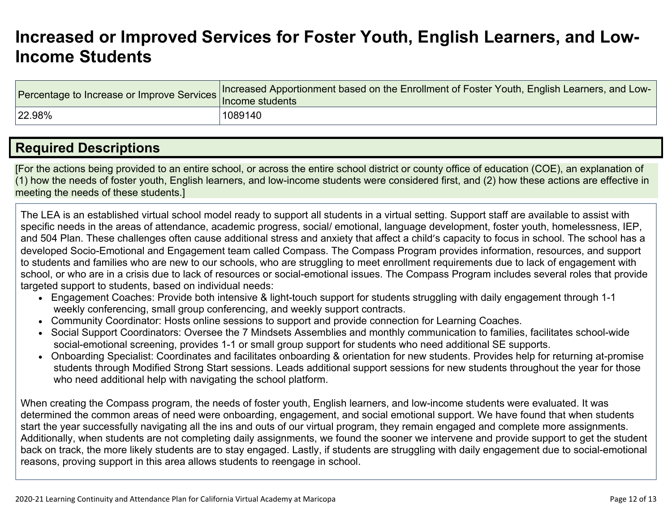## **[Increased](http://www.doc-tracking.com/screenshots/20LCP/Instructions/20LCPInstructions.htm#IncreasedorImprovedServices) or Improved Services for Foster Youth, English Learners, and Low-Income [Students](http://www.doc-tracking.com/screenshots/20LCP/Instructions/20LCPInstructions.htm#IncreasedorImprovedServices)**

| Percentage to Increase or Improve Services   Increased Apport | Increased Apportionment based on the Enrollment of Foster Youth, English Learners, and Low- |
|---------------------------------------------------------------|---------------------------------------------------------------------------------------------|
| 22.98%                                                        | 1089140                                                                                     |

## **Required [Descriptions](http://www.doc-tracking.com/screenshots/20LCP/Instructions/20LCPInstructions.htm#RequiredDescriptions)**

[For the actions being provided to an entire school, or across the entire school district or county office of education (COE), an explanation of (1) how the needs of foster youth, English learners, and low-income students were considered first, and (2) how these actions are effective in meeting the needs of these students.]

The LEA is an established virtual school model ready to support all students in a virtual setting. Support staff are available to assist with specific needs in the areas of attendance, academic progress, social/ emotional, language development, foster youth, homelessness, IEP, and 504 Plan. These challenges often cause additional stress and anxiety that affect a child's capacity to focus in school. The school has a developed Socio-Emotional and Engagement team called Compass. The Compass Program provides information, resources, and support to students and families who are new to our schools, who are struggling to meet enrollment requirements due to lack of engagement with school, or who are in a crisis due to lack of resources or social-emotional issues. The Compass Program includes several roles that provide targeted support to students, based on individual needs:

- Engagement Coaches: Provide both intensive & light-touch support for students struggling with daily engagement through 1-1 weekly conferencing, small group conferencing, and weekly support contracts.
- Community Coordinator: Hosts online sessions to support and provide connection for Learning Coaches.
- Social Support Coordinators: Oversee the 7 Mindsets Assemblies and monthly communication to families, facilitates school-wide social-emotional screening, provides 1-1 or small group support for students who need additional SE supports.
- Onboarding Specialist: Coordinates and facilitates onboarding & orientation for new students. Provides help for returning at-promise students through Modified Strong Start sessions. Leads additional support sessions for new students throughout the year for those who need additional help with navigating the school platform.

When creating the Compass program, the needs of foster youth, English learners, and low-income students were evaluated. It was determined the common areas of need were onboarding, engagement, and social emotional support. We have found that when students start the year successfully navigating all the ins and outs of our virtual program, they remain engaged and complete more assignments. Additionally, when students are not completing daily assignments, we found the sooner we intervene and provide support to get the student back on track, the more likely students are to stay engaged. Lastly, if students are struggling with daily engagement due to social-emotional reasons, proving support in this area allows students to reengage in school.